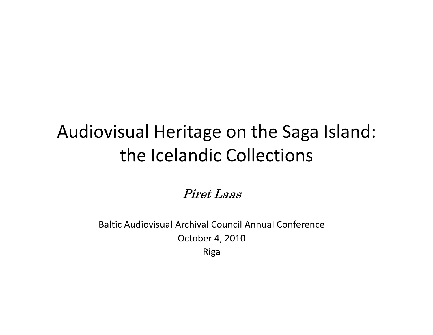# Audiovisual Heritage on the Saga Island: the Icelandic Collections

Piret Laas

Baltic Audiovisual Archival Council Annual Conference October 4, 2010Riga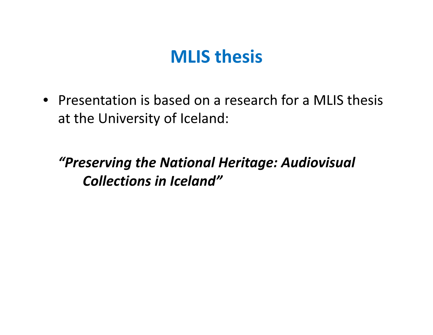### MLIS thesis

• Presentation is based on a research for a MLIS thesis at the University of Iceland:

"Preserving the National Heritage: Audiovisual Collections in Iceland"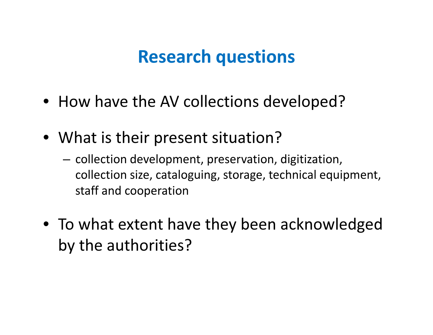# Research questions

- How have the AV collections developed?
- What is their present situation?
	- $-$  collection development, preservation, digitization, collection size, cataloguing, storage, technical equipment, staff and cooperation
- To what extent have they been acknowledged by the authorities?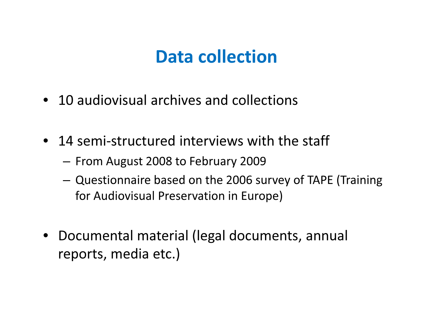# Data collection

- 10 audiovisual archives and collections
- 14 semi-structured interviews with the staff
	- $-$  From August 2008 to February 2009
	- Questionnaire based on the 2006 survey of TAPE (Training for Audiovisual Preservation in Europe)
- Documental material (legal documents, annual reports, media etc.)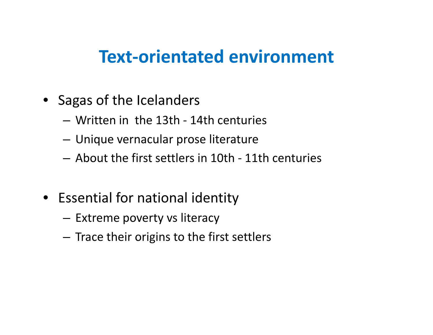#### Text-orientated environment

- Sagas of the Icelanders
	- –Written in the 13th - 14th centuries
	- –Unique vernacular prose literature
	- – $-$  About the first settlers in 10th - 11th centuries
- Essential for national identity
	- – $-$  Extreme poverty vs literacy
	- – $-$  Trace their origins to the first settlers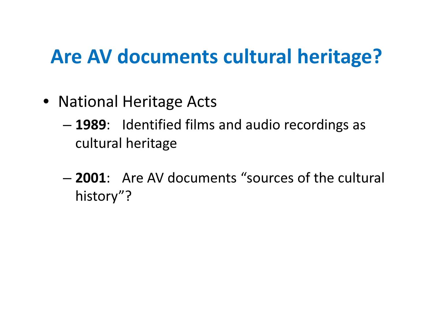# Are AV documents cultural heritage?

- National Heritage Acts
	- –- 1989: Identified films and audio recordings as cultural heritage
	- –- **2001**: Are AV documents "sources of the cultural history"?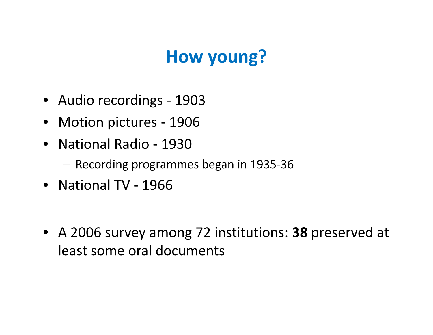# How young?

- Audio recordings <sup>1903</sup>
- Motion pictures <sup>1906</sup>
- National Radio <sup>1930</sup>
	- $-$  Recording programmes began in 1935-36
- National TV <sup>1966</sup>
- A 2006 survey among 72 institutions: 38 preserved at least some oral documents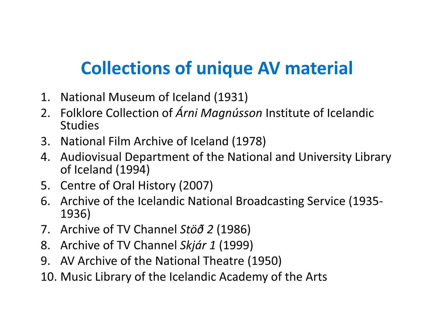# Collections of unique AV material

- 1. National Museum of Iceland (1931)
- 2. Folklore Collection of *Árni Magnússon* Institute of Icelandic **Studies**
- 3. National Film Archive of Iceland (1978)
- 4. Audiovisual Department of the National and University Library of Iceland (1994)
- 5. Centre of Oral History (2007)
- 6. Archive of the Icelandic National Broadcasting Service (1935-1936)
- 7. Archive of TV Channel Stöð 2 (1986)
- 8. Archive of TV Channel Skjár 1 (1999)
- 9. AV Archive of the National Theatre (1950)
- 10. Music Library of the Icelandic Academy of the Arts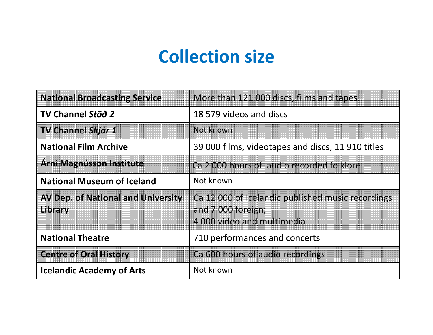## Collection size

| <b>National Broadcasting Service</b>                 | More than 121 000 discs, films and tapes                                                              |
|------------------------------------------------------|-------------------------------------------------------------------------------------------------------|
| TV Channel Stöð 2                                    | 18 579 videos and discs                                                                               |
| <b>TV Channel Skjár 1</b>                            | Not known                                                                                             |
| <b>National Film Archive</b>                         | 39 000 films, videotapes and discs; 11 910 titles                                                     |
| <b>Arni Magnússon Institute</b>                      | Ca 2000 hours of audio recorded folklore                                                              |
| <b>National Museum of Iceland</b>                    | Not known                                                                                             |
| <b>AV Dep. of National and University</b><br>Library | Ca 12 000 of Icelandic published music recordings<br>and 7 000 foreign;<br>4 000 video and multimedia |
| <b>National Theatre</b>                              | 710 performances and concerts                                                                         |
| <b>Centre of Oral History</b>                        | Ca 600 hours of audio recordings                                                                      |
| <b>Icelandic Academy of Arts</b>                     | Not known                                                                                             |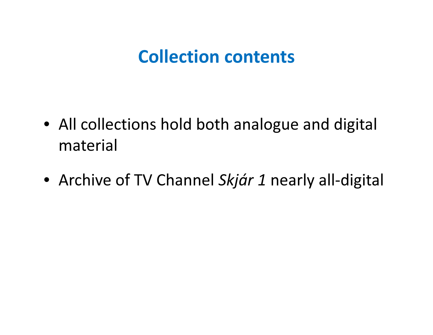### Collection contents

- All collections hold both analogue and digital material
- Archive of TV Channel Skjár 1 nearly all-digital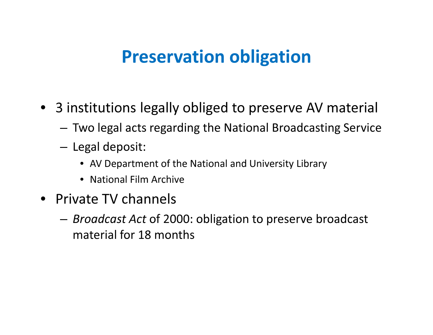## Preservation obligation

- 3 institutions legally obliged to preserve AV material
	- –Two legal acts regarding the National Broadcasting Service
	- Legal deposit:
		- AV Department of the National and University Library
		- National Film Archive
- Private TV channels
	- *Broadcast Act* of 2000: obligation to preserve broadcast material for 18 months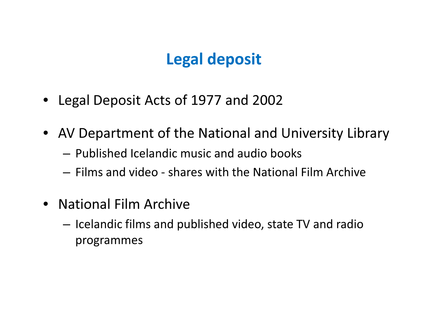#### Legal deposit

- Legal Deposit Acts of 1977 and 2002
- AV Department of the National and University Library
	- $-$  Published Icelandic music and audio books
	- $-$  Films and video shares with the National Film Archive
- National Film Archive
	- $-$  Icelandic films and published video, state TV and radio programmes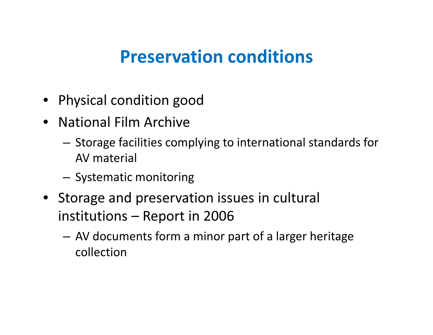## Preservation conditions

- Physical condition good
- National Film Archive
	- $-$  Storage facilities complying to international standards for AV material
	- –— Systematic monitoring
- Storage and preservation issues in cultural institutions – Report in 2006
	- AV documents form a minor part of a larger heritage collection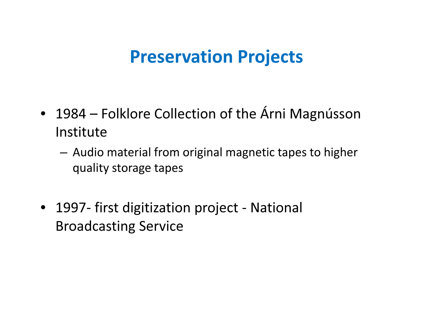#### Preservation Projects

- • 1984 – Folklore Collection of the Árni Magnússon Institute
	- Audio material from original magnetic tapes to higher quality storage tapes
- 1997- first digitization project National Broadcasting Service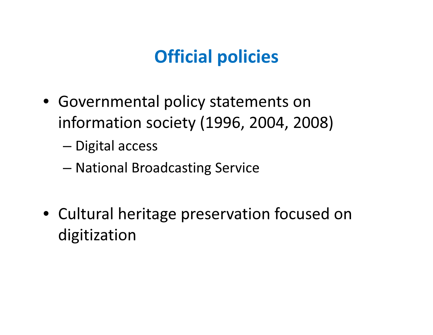# Official policies

• Governmental policy statements on information society (1996, 2004, 2008)

–— Digital access

- –National Broadcasting Service
- Cultural heritage preservation focused on digitization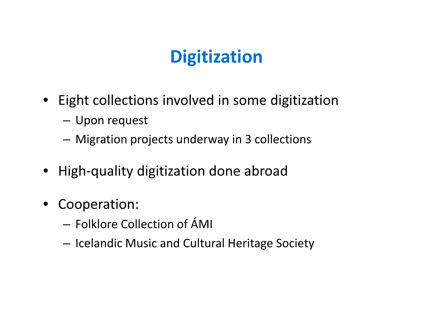# **Digitization**

- Eight collections involved in some digitization
	- Upon request
	- –Migration projects underway in 3 collections
- High-quality digitization done abroad
- Cooperation:
	- $-$  Folklore Collection of ÁMI
	- $-$  Icelandic Music and Cultural Heritage Society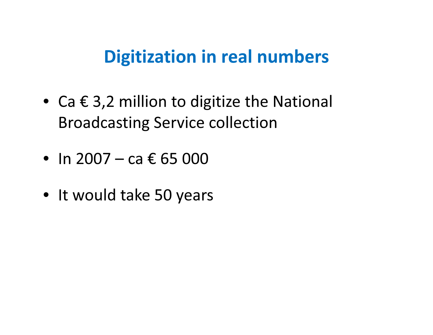#### Digitization in real numbers

- Ca  $\epsilon$  3,2 million to digitize the National Broadcasting Service collection
- In 2007 – ca € 65 000
- It would take 50 years